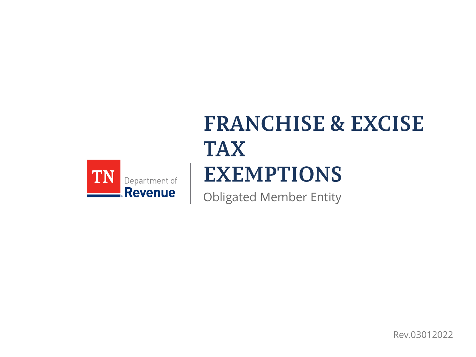

# **FRANCHISE & EXCISE TAX EXEMPTIONS**

Obligated Member Entity

Rev.03012022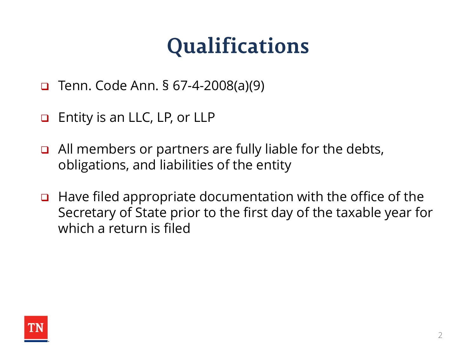#### Qualifications

- ❑ Tenn. Code Ann. § 67-4-2008(a)(9)
- ❑ Entity is an LLC, LP, or LLP
- ❑ All members or partners are fully liable for the debts, obligations, and liabilities of the entity
- ❑ Have filed appropriate documentation with the office of the Secretary of State prior to the first day of the taxable year for which a return is filed

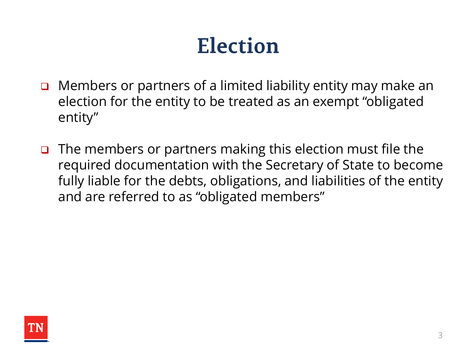#### **Election**

- ❑ Members or partners of a limited liability entity may make an election for the entity to be treated as an exempt "obligated entity"
- ❑ The members or partners making this election must file the required documentation with the Secretary of State to become fully liable for the debts, obligations, and liabilities of the entity and are referred to as "obligated members"

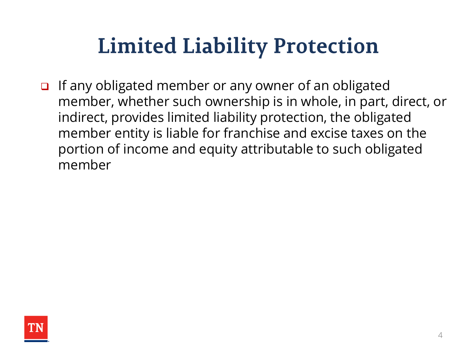## **Limited Liability Protection**

❑ If any obligated member or any owner of an obligated member, whether such ownership is in whole, in part, direct, or indirect, provides limited liability protection, the obligated member entity is liable for franchise and excise taxes on the portion of income and equity attributable to such obligated member

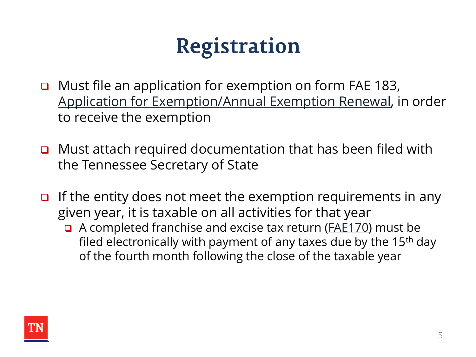# **Registration**

- ❑ Must file an application for exemption on form FAE 183, [Application for Exemption/Annual Exemption Renewal](https://www.tn.gov/content/dam/tn/revenue/documents/forms/fae/fae183.pdf), in order to receive the exemption
- ❑ Must attach required documentation that has been filed with the Tennessee Secretary of State
- ❑ If the entity does not meet the exemption requirements in any given year, it is taxable on all activities for that year
	- ❑ A completed franchise and excise tax return ([FAE170\)](https://www.tn.gov/content/dam/tn/revenue/documents/forms/fae/FAE170_2019.pdf) must be filed electronically with payment of any taxes due by the 15<sup>th</sup> day of the fourth month following the close of the taxable year

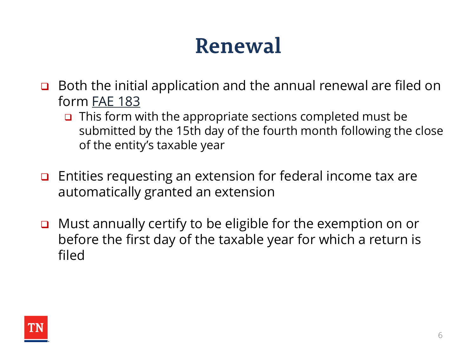# Renewal

- ❑ Both the initial application and the annual renewal are filed on form [FAE 183](https://www.tn.gov/content/dam/tn/revenue/documents/forms/fae/fae183.pdf)
	- ❑ This form with the appropriate sections completed must be submitted by the 15th day of the fourth month following the close of the entity's taxable year
- ❑ Entities requesting an extension for federal income tax are automatically granted an extension
- ❑ Must annually certify to be eligible for the exemption on or before the first day of the taxable year for which a return is filed

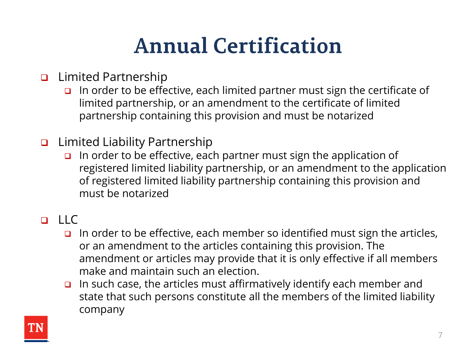# **Annual Certification**

- ❑ Limited Partnership
	- ❑ In order to be effective, each limited partner must sign the certificate of limited partnership, or an amendment to the certificate of limited partnership containing this provision and must be notarized
- ❑ Limited Liability Partnership
	- ❑ In order to be effective, each partner must sign the application of registered limited liability partnership, or an amendment to the application of registered limited liability partnership containing this provision and must be notarized

#### $\Box$  LLC

- $\Box$  In order to be effective, each member so identified must sign the articles, or an amendment to the articles containing this provision. The amendment or articles may provide that it is only effective if all members make and maintain such an election.
- ❑ In such case, the articles must affirmatively identify each member and state that such persons constitute all the members of the limited liability company

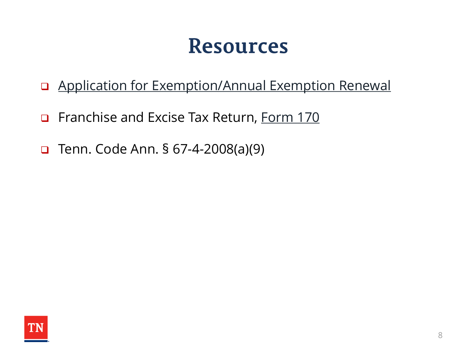#### **Resources**

- ❑ [Application for Exemption/Annual Exemption Renewal](https://www.tn.gov/content/dam/tn/revenue/documents/forms/fae/fae183.pdf)
- ❑ Franchise and Excise Tax Return, [Form 170](https://www.tn.gov/content/dam/tn/revenue/documents/forms/fae/FAE170_2019.pdf)
- ❑ Tenn. Code Ann. § 67-4-2008(a)(9)